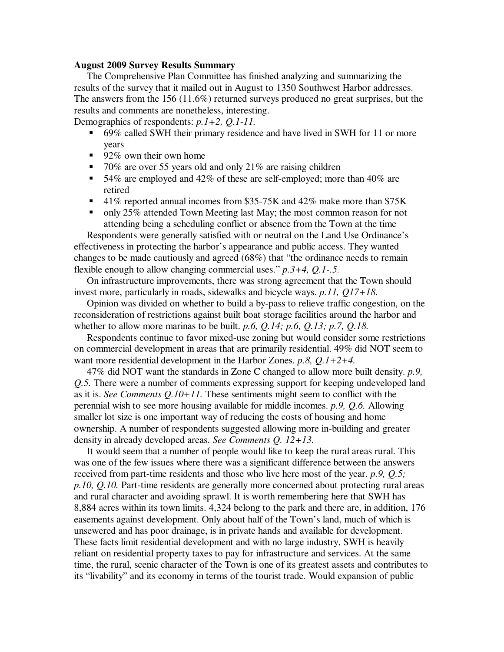## **August 2009 Survey Results Summary**

 The Comprehensive Plan Committee has finished analyzing and summarizing the results of the survey that it mailed out in August to 1350 Southwest Harbor addresses. The answers from the 156 (11.6%) returned surveys produced no great surprises, but the results and comments are nonetheless, interesting. Demographics of respondents: *p.1+2, Q.1-11.*

 69% called SWH their primary residence and have lived in SWH for 11 or more years

- $\blacksquare$  92% own their own home
- 70% are over 55 years old and only 21% are raising children
- 54% are employed and 42% of these are self-employed; more than 40% are retired
- $\sim$  41% reported annual incomes from \$35-75K and 42% make more than \$75K
- only 25% attended Town Meeting last May; the most common reason for not attending being a scheduling conflict or absence from the Town at the time

 Respondents were generally satisfied with or neutral on the Land Use Ordinance's effectiveness in protecting the harbor's appearance and public access. They wanted changes to be made cautiously and agreed (68%) that "the ordinance needs to remain flexible enough to allow changing commercial uses." *p.3+4, Q.1-.5.*

 On infrastructure improvements, there was strong agreement that the Town should invest more, particularly in roads, sidewalks and bicycle ways. *p.11, Q17+18.* 

 Opinion was divided on whether to build a by-pass to relieve traffic congestion, on the reconsideration of restrictions against built boat storage facilities around the harbor and whether to allow more marinas to be built. *p.6, Q.14; p.6, Q.13; p.7, Q.18.* 

 Respondents continue to favor mixed-use zoning but would consider some restrictions on commercial development in areas that are primarily residential. 49% did NOT seem to want more residential development in the Harbor Zones. *p.8, Q.1+2+4.*

 47% did NOT want the standards in Zone C changed to allow more built density. *p.9, Q.5.* There were a number of comments expressing support for keeping undeveloped land as it is. *See Comments Q.10+11.* These sentiments might seem to conflict with the perennial wish to see more housing available for middle incomes. *p.9, Q.6.* Allowing smaller lot size is one important way of reducing the costs of housing and home ownership. A number of respondents suggested allowing more in-building and greater density in already developed areas. *See Comments Q. 12+13.* 

 It would seem that a number of people would like to keep the rural areas rural. This was one of the few issues where there was a significant difference between the answers received from part-time residents and those who live here most of the year. *p.9, Q.5; p.10, Q.10.* Part-time residents are generally more concerned about protecting rural areas and rural character and avoiding sprawl. It is worth remembering here that SWH has 8,884 acres within its town limits. 4,324 belong to the park and there are, in addition, 176 easements against development. Only about half of the Town's land, much of which is unsewered and has poor drainage, is in private hands and available for development. These facts limit residential development and with no large industry, SWH is heavily reliant on residential property taxes to pay for infrastructure and services. At the same time, the rural, scenic character of the Town is one of its greatest assets and contributes to its "livability" and its economy in terms of the tourist trade. Would expansion of public